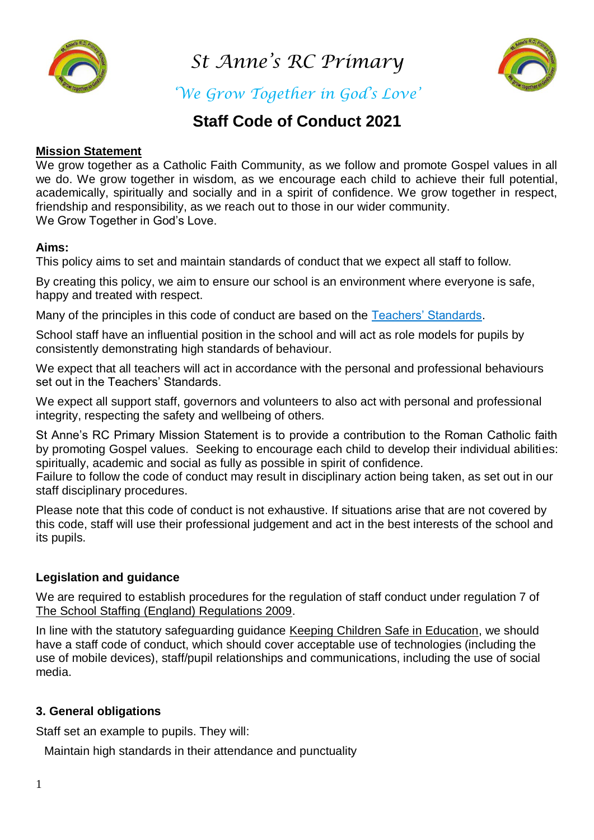

*St Anne's RC Primary* 



*'We Grow Together in God's Love'*

# **Staff Code of Conduct 2021**

## **Mission Statement**

We grow together as a Catholic Faith Community, as we follow and promote Gospel values in all we do. We grow together in wisdom, as we encourage each child to achieve their full potential, academically, spiritually and socially and in a spirit of confidence. We grow together in respect, friendship and responsibility, as we reach out to those in our wider community. We Grow Together in God's Love.

## **Aims:**

This policy aims to set and maintain standards of conduct that we expect all staff to follow.

By creating this policy, we aim to ensure our school is an environment where everyone is safe, happy and treated with respect.

Many of the principles in this code of conduct are based on the [Teachers' Standards.](https://www.gov.uk/government/publications/teachers-standards)

School staff have an influential position in the school and will act as role models for pupils by consistently demonstrating high standards of behaviour.

We expect that all teachers will act in accordance with the personal and professional behaviours set out in the Teachers' Standards.

We expect all support staff, governors and volunteers to also act with personal and professional integrity, respecting the safety and wellbeing of others.

St Anne's RC Primary Mission Statement is to provide a contribution to the Roman Catholic faith by promoting Gospel values. Seeking to encourage each child to develop their individual abilities: spiritually, academic and social as fully as possible in spirit of confidence.

Failure to follow the code of conduct may result in disciplinary action being taken, as set out in our staff disciplinary procedures.

Please note that this code of conduct is not exhaustive. If situations arise that are not covered by this code, staff will use their professional judgement and act in the best interests of the school and its pupils.

# **Legislation and guidance**

We are required to establish procedures for the regulation of staff conduct under regulation 7 of [The School Staffing \(England\) Regulations 2009.](http://www.legislation.gov.uk/uksi/2009/2680/contents/made)

In line with the statutory safeguarding guidance [Keeping Children Safe in Education,](https://www.gov.uk/government/publications/keeping-children-safe-in-education--2) we should have a staff code of conduct, which should cover acceptable use of technologies (including the use of mobile devices), staff/pupil relationships and communications, including the use of social media.

# **3. General obligations**

Staff set an example to pupils. They will:

Maintain high standards in their attendance and punctuality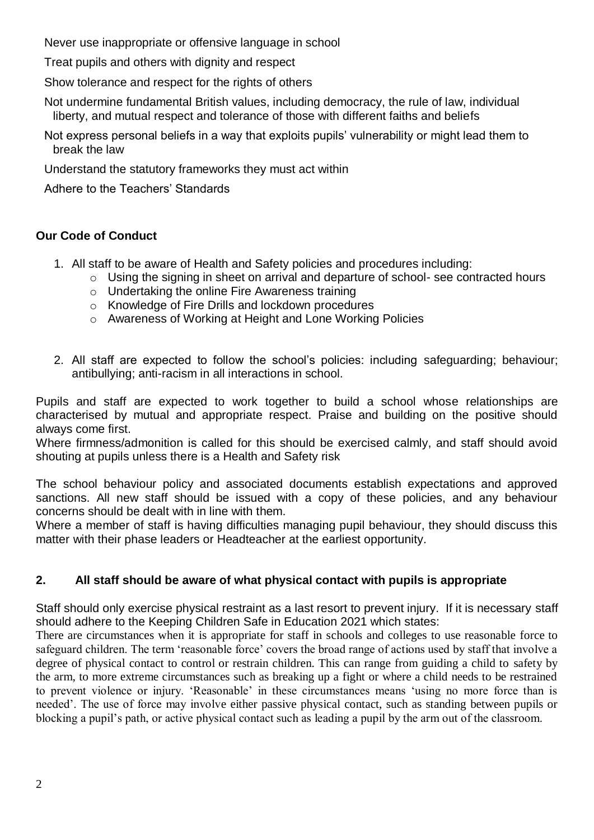Never use inappropriate or offensive language in school

Treat pupils and others with dignity and respect

Show tolerance and respect for the rights of others

Not undermine fundamental British values, including democracy, the rule of law, individual liberty, and mutual respect and tolerance of those with different faiths and beliefs

Not express personal beliefs in a way that exploits pupils' vulnerability or might lead them to break the law

Understand the statutory frameworks they must act within

Adhere to the Teachers' Standards

# **Our Code of Conduct**

- 1. All staff to be aware of Health and Safety policies and procedures including:
	- o Using the signing in sheet on arrival and departure of school- see contracted hours
	- o Undertaking the online Fire Awareness training
	- o Knowledge of Fire Drills and lockdown procedures
	- o Awareness of Working at Height and Lone Working Policies
- 2. All staff are expected to follow the school's policies: including safeguarding; behaviour; antibullying; anti-racism in all interactions in school.

Pupils and staff are expected to work together to build a school whose relationships are characterised by mutual and appropriate respect. Praise and building on the positive should always come first.

Where firmness/admonition is called for this should be exercised calmly, and staff should avoid shouting at pupils unless there is a Health and Safety risk

The school behaviour policy and associated documents establish expectations and approved sanctions. All new staff should be issued with a copy of these policies, and any behaviour concerns should be dealt with in line with them.

Where a member of staff is having difficulties managing pupil behaviour, they should discuss this matter with their phase leaders or Headteacher at the earliest opportunity.

# **2. All staff should be aware of what physical contact with pupils is appropriate**

Staff should only exercise physical restraint as a last resort to prevent injury. If it is necessary staff should adhere to the Keeping Children Safe in Education 2021 which states:

There are circumstances when it is appropriate for staff in schools and colleges to use reasonable force to safeguard children. The term 'reasonable force' covers the broad range of actions used by staff that involve a degree of physical contact to control or restrain children. This can range from guiding a child to safety by the arm, to more extreme circumstances such as breaking up a fight or where a child needs to be restrained to prevent violence or injury. 'Reasonable' in these circumstances means 'using no more force than is needed'. The use of force may involve either passive physical contact, such as standing between pupils or blocking a pupil's path, or active physical contact such as leading a pupil by the arm out of the classroom.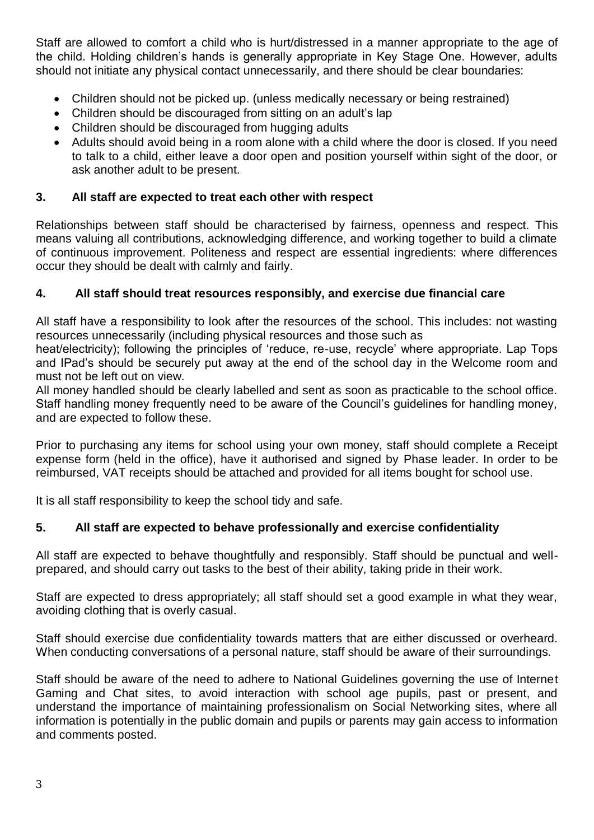Staff are allowed to comfort a child who is hurt/distressed in a manner appropriate to the age of the child. Holding children's hands is generally appropriate in Key Stage One. However, adults should not initiate any physical contact unnecessarily, and there should be clear boundaries:

- Children should not be picked up. (unless medically necessary or being restrained)
- Children should be discouraged from sitting on an adult's lap
- Children should be discouraged from hugging adults
- Adults should avoid being in a room alone with a child where the door is closed. If you need to talk to a child, either leave a door open and position yourself within sight of the door, or ask another adult to be present.

# **3. All staff are expected to treat each other with respect**

Relationships between staff should be characterised by fairness, openness and respect. This means valuing all contributions, acknowledging difference, and working together to build a climate of continuous improvement. Politeness and respect are essential ingredients: where differences occur they should be dealt with calmly and fairly.

# **4. All staff should treat resources responsibly, and exercise due financial care**

All staff have a responsibility to look after the resources of the school. This includes: not wasting resources unnecessarily (including physical resources and those such as

heat/electricity); following the principles of 'reduce, re-use, recycle' where appropriate. Lap Tops and IPad's should be securely put away at the end of the school day in the Welcome room and must not be left out on view.

All money handled should be clearly labelled and sent as soon as practicable to the school office. Staff handling money frequently need to be aware of the Council's guidelines for handling money, and are expected to follow these.

Prior to purchasing any items for school using your own money, staff should complete a Receipt expense form (held in the office), have it authorised and signed by Phase leader. In order to be reimbursed, VAT receipts should be attached and provided for all items bought for school use.

It is all staff responsibility to keep the school tidy and safe.

# **5. All staff are expected to behave professionally and exercise confidentiality**

All staff are expected to behave thoughtfully and responsibly. Staff should be punctual and wellprepared, and should carry out tasks to the best of their ability, taking pride in their work.

Staff are expected to dress appropriately; all staff should set a good example in what they wear, avoiding clothing that is overly casual.

Staff should exercise due confidentiality towards matters that are either discussed or overheard. When conducting conversations of a personal nature, staff should be aware of their surroundings.

Staff should be aware of the need to adhere to National Guidelines governing the use of Internet Gaming and Chat sites, to avoid interaction with school age pupils, past or present, and understand the importance of maintaining professionalism on Social Networking sites, where all information is potentially in the public domain and pupils or parents may gain access to information and comments posted.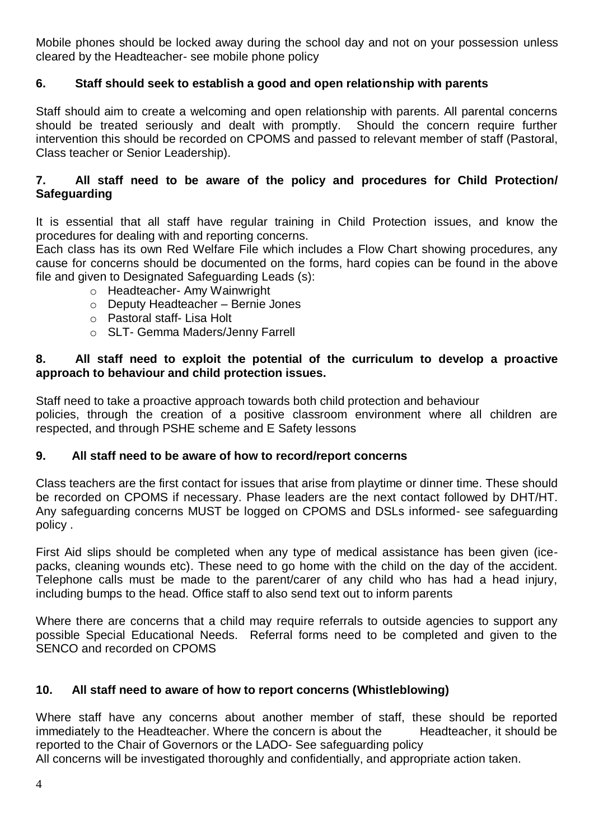Mobile phones should be locked away during the school day and not on your possession unless cleared by the Headteacher- see mobile phone policy

# **6. Staff should seek to establish a good and open relationship with parents**

Staff should aim to create a welcoming and open relationship with parents. All parental concerns should be treated seriously and dealt with promptly. Should the concern require further intervention this should be recorded on CPOMS and passed to relevant member of staff (Pastoral, Class teacher or Senior Leadership).

## **7. All staff need to be aware of the policy and procedures for Child Protection/ Safeguarding**

It is essential that all staff have regular training in Child Protection issues, and know the procedures for dealing with and reporting concerns.

Each class has its own Red Welfare File which includes a Flow Chart showing procedures, any cause for concerns should be documented on the forms, hard copies can be found in the above file and given to Designated Safeguarding Leads (s):

- o Headteacher- Amy Wainwright
- o Deputy Headteacher Bernie Jones
- o Pastoral staff- Lisa Holt
- o SLT- Gemma Maders/Jenny Farrell

## **8. All staff need to exploit the potential of the curriculum to develop a proactive approach to behaviour and child protection issues.**

Staff need to take a proactive approach towards both child protection and behaviour policies, through the creation of a positive classroom environment where all children are respected, and through PSHE scheme and E Safety lessons

# **9. All staff need to be aware of how to record/report concerns**

Class teachers are the first contact for issues that arise from playtime or dinner time. These should be recorded on CPOMS if necessary. Phase leaders are the next contact followed by DHT/HT. Any safeguarding concerns MUST be logged on CPOMS and DSLs informed- see safeguarding policy .

First Aid slips should be completed when any type of medical assistance has been given (icepacks, cleaning wounds etc). These need to go home with the child on the day of the accident. Telephone calls must be made to the parent/carer of any child who has had a head injury, including bumps to the head. Office staff to also send text out to inform parents

Where there are concerns that a child may require referrals to outside agencies to support any possible Special Educational Needs. Referral forms need to be completed and given to the SENCO and recorded on CPOMS

# **10. All staff need to aware of how to report concerns (Whistleblowing)**

Where staff have any concerns about another member of staff, these should be reported immediately to the Headteacher. Where the concern is about the Headteacher, it should be reported to the Chair of Governors or the LADO- See safeguarding policy

All concerns will be investigated thoroughly and confidentially, and appropriate action taken.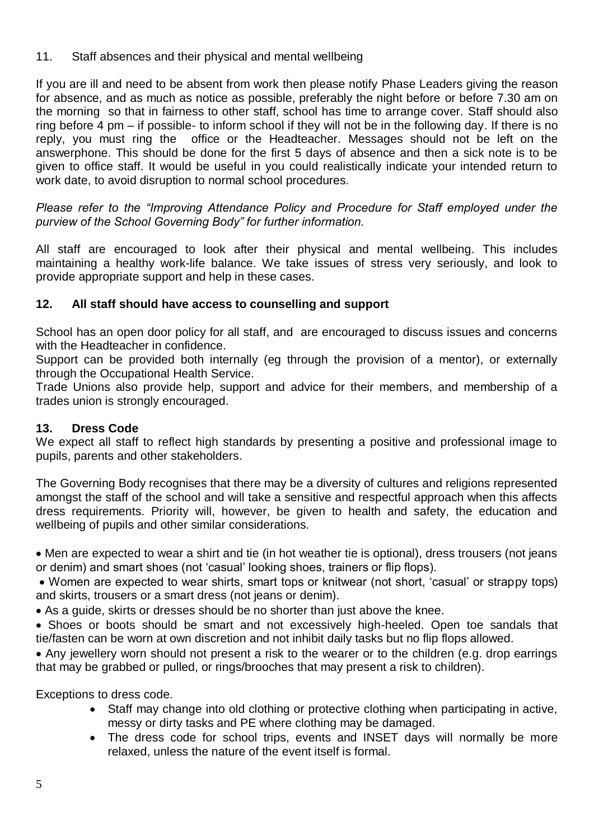11. Staff absences and their physical and mental wellbeing

If you are ill and need to be absent from work then please notify Phase Leaders giving the reason for absence, and as much as notice as possible, preferably the night before or before 7.30 am on the morning so that in fairness to other staff, school has time to arrange cover. Staff should also ring before 4 pm – if possible- to inform school if they will not be in the following day. If there is no reply, you must ring the office or the Headteacher. Messages should not be left on the answerphone. This should be done for the first 5 days of absence and then a sick note is to be given to office staff. It would be useful in you could realistically indicate your intended return to work date, to avoid disruption to normal school procedures.

*Please refer to the "Improving Attendance Policy and Procedure for Staff employed under the purview of the School Governing Body" for further information.* 

All staff are encouraged to look after their physical and mental wellbeing. This includes maintaining a healthy work-life balance. We take issues of stress very seriously, and look to provide appropriate support and help in these cases.

# **12. All staff should have access to counselling and support**

School has an open door policy for all staff, and are encouraged to discuss issues and concerns with the Headteacher in confidence.

Support can be provided both internally (eg through the provision of a mentor), or externally through the Occupational Health Service.

Trade Unions also provide help, support and advice for their members, and membership of a trades union is strongly encouraged.

# **13. Dress Code**

We expect all staff to reflect high standards by presenting a positive and professional image to pupils, parents and other stakeholders.

The Governing Body recognises that there may be a diversity of cultures and religions represented amongst the staff of the school and will take a sensitive and respectful approach when this affects dress requirements. Priority will, however, be given to health and safety, the education and wellbeing of pupils and other similar considerations.

 Men are expected to wear a shirt and tie (in hot weather tie is optional), dress trousers (not jeans or denim) and smart shoes (not 'casual' looking shoes, trainers or flip flops).

 Women are expected to wear shirts, smart tops or knitwear (not short, 'casual' or strappy tops) and skirts, trousers or a smart dress (not jeans or denim).

As a guide, skirts or dresses should be no shorter than just above the knee.

 Shoes or boots should be smart and not excessively high-heeled. Open toe sandals that tie/fasten can be worn at own discretion and not inhibit daily tasks but no flip flops allowed.

 Any jewellery worn should not present a risk to the wearer or to the children (e.g. drop earrings that may be grabbed or pulled, or rings/brooches that may present a risk to children).

Exceptions to dress code.

- Staff may change into old clothing or protective clothing when participating in active, messy or dirty tasks and PE where clothing may be damaged.
- The dress code for school trips, events and INSET days will normally be more relaxed, unless the nature of the event itself is formal.